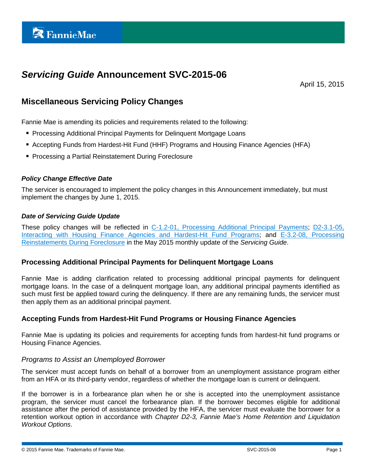# *Servicing Guide* **Announcement SVC-2015-06**

April 15, 2015

## **Miscellaneous Servicing Policy Changes**

Fannie Mae is amending its policies and requirements related to the following:

- **Processing Additional Principal Payments for Delinguent Mortgage Loans**
- Accepting Funds from Hardest-Hit Fund (HHF) Programs and Housing Finance Agencies (HFA)
- **Processing a Partial Reinstatement During Foreclosure**

#### *Policy Change Effective Date*

The servicer is encouraged to implement the policy changes in this Announcement immediately, but must implement the changes by June 1, 2015.

#### *Date of Servicing Guide Update*

These policy changes will be reflected in [C-1.2-01, Processing Additional Principal Payments;](https://www.fanniemae.com/content/guide/svc040815.pdf#page=344) D2-3.1-05, [Interacting with Housing Finance Agencies and Hardest-Hit Fund Programs;](https://www.fanniemae.com/content/guide/svc040815.pdf#page=457) and [E-3.2-08, Processing](https://www.fanniemae.com/content/guide/svc040815.pdf#page=637)  [Reinstatements During Foreclosure](https://www.fanniemae.com/content/guide/svc040815.pdf#page=637) in the May 2015 monthly update of the *Servicing Guide*.

#### **Processing Additional Principal Payments for Delinquent Mortgage Loans**

Fannie Mae is adding clarification related to processing additional principal payments for delinquent mortgage loans. In the case of a delinquent mortgage loan, any additional principal payments identified as such must first be applied toward curing the delinquency. If there are any remaining funds, the servicer must then apply them as an additional principal payment.

#### **Accepting Funds from Hardest-Hit Fund Programs or Housing Finance Agencies**

Fannie Mae is updating its policies and requirements for accepting funds from hardest-hit fund programs or Housing Finance Agencies.

#### *Programs to Assist an Unemployed Borrower*

The servicer must accept funds on behalf of a borrower from an unemployment assistance program either from an HFA or its third-party vendor, regardless of whether the mortgage loan is current or delinquent.

If the borrower is in a forbearance plan when he or she is accepted into the unemployment assistance program, the servicer must cancel the forbearance plan. If the borrower becomes eligible for additional assistance after the period of assistance provided by the HFA, the servicer must evaluate the borrower for a retention workout option in accordance with *Chapter D2-3, Fannie Mae's Home Retention and Liquidation Workout Options*.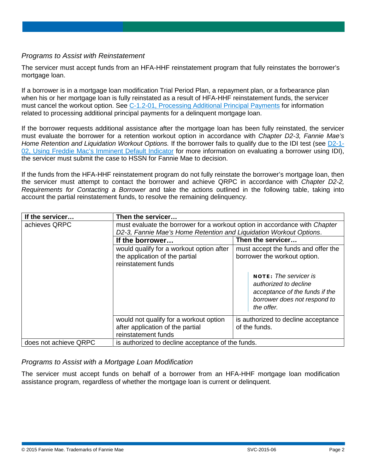#### *Programs to Assist with Reinstatement*

The servicer must accept funds from an HFA-HHF reinstatement program that fully reinstates the borrower's mortgage loan.

If a borrower is in a mortgage loan modification Trial Period Plan, a repayment plan, or a forbearance plan when his or her mortgage loan is fully reinstated as a result of HFA-HHF reinstatement funds, the servicer must cancel the workout option. See [C-1.2-01, Processing Additional Principal Payments](https://www.fanniemae.com/content/guide/svc040815.pdf#page=344) for information related to processing additional principal payments for a delinquent mortgage loan.

If the borrower requests additional assistance after the mortgage loan has been fully reinstated, the servicer must evaluate the borrower for a retention workout option in accordance with *Chapter D2-3, Fannie Mae's Home Retention and Liquidation Workout Options.* If the borrower fails to qualify due to the IDI test (see [D2-1-](https://www.fanniemae.com/content/guide/svc040815.pdf#page=422) [02, Using Freddie Mac's Imminent Default Indicator](https://www.fanniemae.com/content/guide/svc040815.pdf#page=422) for more information on evaluating a borrower using IDI), the servicer must submit the case to HSSN for Fannie Mae to decision.

If the funds from the HFA-HHF reinstatement program do not fully reinstate the borrower's mortgage loan, then the servicer must attempt to contact the borrower and achieve QRPC in accordance with *Chapter D2-2, Requirements for Contacting a Borrower* and take the actions outlined in the following table, taking into account the partial reinstatement funds, to resolve the remaining delinquency*.*

| If the servicer       | Then the servicer                                                                                                                                |                                                                                                                                       |
|-----------------------|--------------------------------------------------------------------------------------------------------------------------------------------------|---------------------------------------------------------------------------------------------------------------------------------------|
| achieves QRPC         | must evaluate the borrower for a workout option in accordance with Chapter<br>D2-3, Fannie Mae's Home Retention and Liquidation Workout Options. |                                                                                                                                       |
|                       | If the borrower                                                                                                                                  | Then the servicer                                                                                                                     |
|                       | would qualify for a workout option after<br>the application of the partial<br>reinstatement funds                                                | must accept the funds and offer the<br>borrower the workout option.                                                                   |
|                       |                                                                                                                                                  | <b>NOTE:</b> The servicer is<br>authorized to decline<br>acceptance of the funds if the<br>borrower does not respond to<br>the offer. |
|                       | would not qualify for a workout option<br>after application of the partial<br>reinstatement funds                                                | is authorized to decline acceptance<br>of the funds.                                                                                  |
| does not achieve QRPC | is authorized to decline acceptance of the funds.                                                                                                |                                                                                                                                       |

### *Programs to Assist with a Mortgage Loan Modification*

The servicer must accept funds on behalf of a borrower from an HFA-HHF mortgage loan modification assistance program, regardless of whether the mortgage loan is current or delinquent.